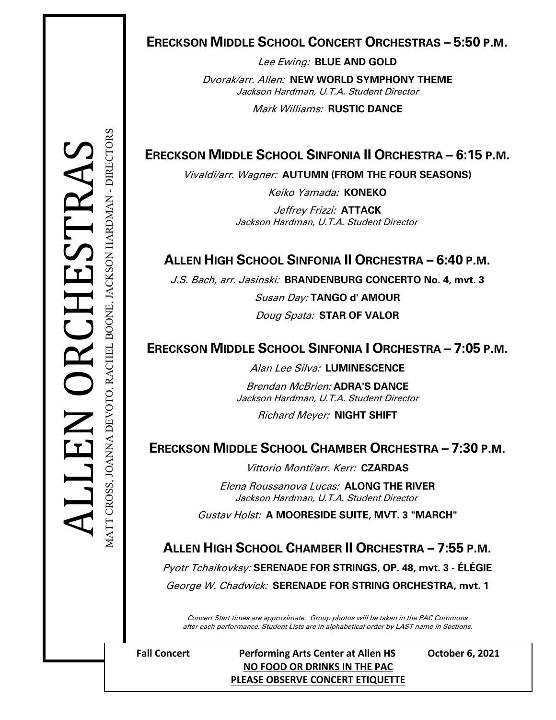# **ERECKSON MIDDLE SCHOOL CONCERT ORCHESTRAS – 5:50 P.M.**

Lee Ewing: **BLUE AND GOLD**  Dvorak/arr. Allen: **NEW WORLD SYMPHONY THEME** Jackson Hardman, U.T.A. Student Director

Mark Williams: **RUSTIC DANCE**

# **ERECKSON MIDDLE SCHOOL SINFONIA II ORCHESTRA – 6:15 P.M.**

Vivaldi/arr. Wagner: **AUTUMN (FROM THE FOUR SEASONS)**

Keiko Yamada: **KONEKO**

Jeffrey Frizzi: **ATTACK** Jackson Hardman, U.T.A. Student Director

# **ALLEN HIGH SCHOOL SINFONIA II ORCHESTRA – 6:40 P.M.**

J.S. Bach, arr. Jasinski: **BRANDENBURG CONCERTO No. 4, mvt. 3**

Susan Day: **TANGO d' AMOUR** Doug Spata: **STAR OF VALOR**

# **ERECKSON MIDDLE SCHOOL SINFONIA I ORCHESTRA – 7:05 P.M.**

Alan Lee Silva: **LUMINESCENCE** 

Brendan McBrien: **ADRA'S DANCE** Jackson Hardman, U.T.A. Student Director

Richard Meyer: **NIGHT SHIFT**

## **ERECKSON MIDDLE SCHOOL CHAMBER ORCHESTRA – 7:30 P.M.**

Vittorio Monti/arr. Kerr: **CZARDAS**

Elena Roussanova Lucas: **ALONG THE RIVER** Jackson Hardman, U.T.A. Student Director

Gustav Holst: **A MOORESIDE SUITE, MVT. 3 "MARCH"**

**ALLEN HIGH SCHOOL CHAMBER II ORCHESTRA – 7:55 P.M.**

Pyotr Tchaikovksy: **SERENADE FOR STRINGS, OP. 48, mvt. 3 - ÉLÉGIE**

George W. Chadwick: **SERENADE FOR STRING ORCHESTRA, mvt. 1**

Concert Start times are approximate. Group photos will be taken in the PAC Commons

## **Fall Concert Performing Arts Center at Allen HS October 6, 2021 NO FOOD OR DRINKS IN THE PAC PLEASE OBSERVE CONCERT ETIQUETTE**